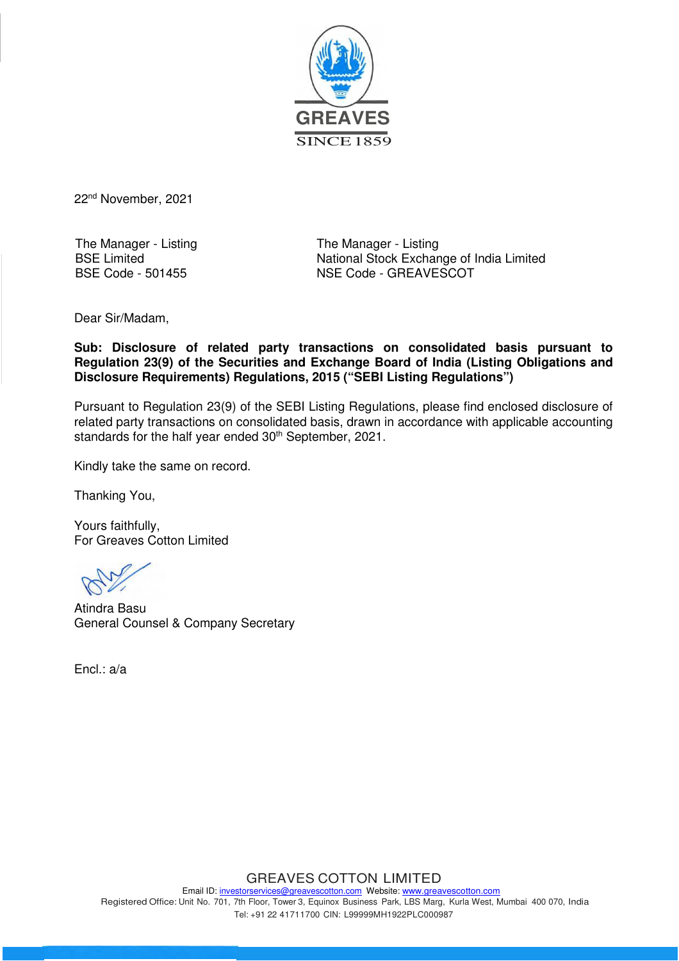

22nd November, 2021

The Manager - Listing BSE Limited BSE Code - 501455

The Manager - Listing National Stock Exchange of India Limited NSE Code - GREAVESCOT

Dear Sir/Madam,

**Sub: Disclosure of related party transactions on consolidated basis pursuant to Regulation 23(9) of the Securities and Exchange Board of India (Listing Obligations and Disclosure Requirements) Regulations, 2015 ("SEBI Listing Regulations")**

Pursuant to Regulation 23(9) of the SEBI Listing Regulations, please find enclosed disclosure of related party transactions on consolidated basis, drawn in accordance with applicable accounting standards for the half year ended 30<sup>th</sup> September, 2021.

Kindly take the same on record.

Thanking You,

Yours faithfully, For Greaves Cotton Limited

Atindra Basu General Counsel & Company Secretary

Encl.: a/a

GREAVES COTTON LIMITED Email ID: investorservices@greavescotton.com Website: www.greavescotton.com Registered Office: Unit No. 701, 7th Floor, Tower 3, Equinox Business Park, LBS Marg, Kurla West, Mumbai 400 070, India Tel: +91 22 41711700 CIN: L99999MH1922PLC000987